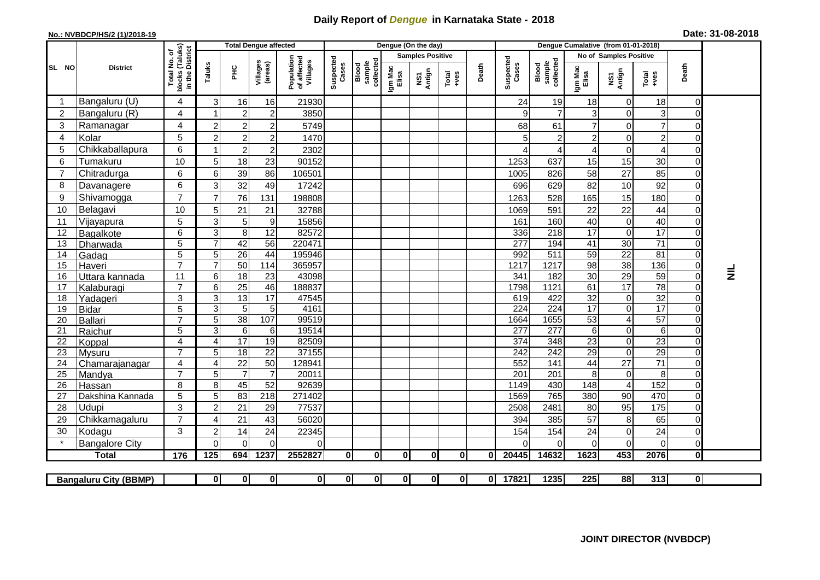## **Daily Report of** *Dengue* **in Karnataka State - 2018**

## **No.: NVBDCP/HS/2 (1)/2018-19**

| Date: 31-08-2018 |  |  |  |  |
|------------------|--|--|--|--|
|------------------|--|--|--|--|

|                 |                              |                                                    |                         |                 | <b>Total Dengue affected</b> |                                       |                    |                              |                  | Dengue (On the day)     |               |          |                          |                              | Dengue Cumalative (from 01-01-2018) |                                      |                 |                                  |          |  |  |  |
|-----------------|------------------------------|----------------------------------------------------|-------------------------|-----------------|------------------------------|---------------------------------------|--------------------|------------------------------|------------------|-------------------------|---------------|----------|--------------------------|------------------------------|-------------------------------------|--------------------------------------|-----------------|----------------------------------|----------|--|--|--|
|                 |                              |                                                    |                         |                 |                              |                                       |                    |                              |                  | <b>Samples Positive</b> |               |          |                          |                              |                                     | No of Samples Positive               |                 |                                  |          |  |  |  |
| SL NO           | <b>District</b>              | Total No. of<br>blocks (Taluks)<br>in the District | Taluks                  | PHC             | Villages<br>(areas)          | Population<br>of affected<br>Villages | Suspected<br>Cases | collected<br>sample<br>Blood | Igm Mac<br>Elisa | NS1<br>Antign           | Total<br>+ves | Death    | Suspected<br>Cases       | collected<br>sample<br>Blood | Igm Mac<br>Elisa                    | NS1<br>Antign                        | Total<br>+ves   | Death                            |          |  |  |  |
|                 | Bangaluru (U)                | $\overline{4}$                                     | 3                       | 16              | 16                           | 21930                                 |                    |                              |                  |                         |               |          | 24                       | 19                           | 18                                  | $\mathbf 0$                          | 18              | 0                                |          |  |  |  |
| $\overline{c}$  | Bangaluru (R)                | $\overline{4}$                                     |                         | $\overline{2}$  | $\overline{c}$               | 3850                                  |                    |                              |                  |                         |               |          | 9                        | $\overline{7}$               | 3                                   | $\mathbf 0$                          | 3               | 0                                |          |  |  |  |
| 3               | Ramanagar                    | 4                                                  | $\overline{2}$          | $\overline{c}$  | $\overline{2}$               | 5749                                  |                    |                              |                  |                         |               |          | 68                       | 61                           | $\overline{7}$                      | $\mathbf 0$                          | $\overline{7}$  | 0                                |          |  |  |  |
| 4               | Kolar                        | 5                                                  | 2                       | $\overline{c}$  | $\overline{c}$               | 1470                                  |                    |                              |                  |                         |               |          | 5                        | $\overline{\mathbf{c}}$      | $\overline{c}$                      | 0                                    | $\overline{c}$  | 0                                |          |  |  |  |
| 5               | Chikkaballapura              | 6                                                  |                         | $\overline{c}$  | $\overline{2}$               | 2302                                  |                    |                              |                  |                         |               |          | 4                        | 4                            | $\overline{4}$                      | $\mathbf 0$                          | $\overline{4}$  | $\Omega$                         |          |  |  |  |
| 6               | Tumakuru                     | 10                                                 | 5                       | 18              | 23                           | 90152                                 |                    |                              |                  |                         |               |          | 1253                     | 637                          | 15                                  | 15                                   | 30              | $\overline{0}$                   |          |  |  |  |
| $\overline{7}$  | Chitradurga                  | 6                                                  | 6                       | 39              | 86                           | 106501                                |                    |                              |                  |                         |               |          | 1005                     | 826                          | 58                                  | 27                                   | 85              | $\Omega$                         |          |  |  |  |
| 8               | Davanagere                   | 6                                                  | 3                       | 32              | 49                           | 17242                                 |                    |                              |                  |                         |               |          | 696                      | 629                          | 82                                  | 10                                   | 92              | $\overline{0}$                   |          |  |  |  |
| 9               | Shivamogga                   | $\overline{7}$                                     | $\overline{7}$          | 76              | 131                          | 198808                                |                    |                              |                  |                         |               |          | 1263                     | 528                          | 165                                 | 15                                   | 180             | $\Omega$                         |          |  |  |  |
| 10              | Belagavi                     | 10                                                 | 5                       | 21              | 21                           | 32788                                 |                    |                              |                  |                         |               |          | 1069                     | 591                          | 22                                  | 22                                   | 44              | $\Omega$                         |          |  |  |  |
| 11              | Vijayapura                   | 5                                                  | 3                       | 5               | $\boldsymbol{9}$             | 15856                                 |                    |                              |                  |                         |               |          | 161                      | 160                          | 40                                  | $\mathbf 0$                          | 40              | $\Omega$                         |          |  |  |  |
| 12              | Bagalkote                    | 6                                                  | 3                       | $\, 8$          | $\overline{12}$              | 82572                                 |                    |                              |                  |                         |               |          | 336                      | $\overline{218}$             | $\overline{17}$                     | $\pmb{0}$                            | 17              | 0                                |          |  |  |  |
| 13              | Dharwada                     | 5                                                  |                         | 42              | $\overline{56}$              | 220471                                |                    |                              |                  |                         |               |          | $\overline{277}$         | 194                          | 41                                  | 30                                   | $\overline{71}$ | $\Omega$                         |          |  |  |  |
| 14              | Gadag                        | $\overline{5}$                                     | 5                       | 26              | 44                           | 195946                                |                    |                              |                  |                         |               |          | 992                      | 511                          | 59                                  | $\overline{22}$                      | 81              | $\overline{0}$                   |          |  |  |  |
| 15              | Haveri                       | $\overline{7}$                                     | $\overline{7}$          | 50              | 114                          | 365957                                |                    |                              |                  |                         |               |          | 1217                     | 1217                         | $\overline{98}$                     | 38                                   | 136             | $\overline{0}$                   | $\equiv$ |  |  |  |
| 16              | Uttara kannada               | $\overline{11}$                                    | 6                       | $\overline{18}$ | $\overline{23}$              | 43098                                 |                    |                              |                  |                         |               |          | 341                      | 182                          | 30                                  | 29                                   | 59              | $\overline{0}$                   |          |  |  |  |
| 17              | Kalaburagi                   | $\overline{7}$                                     | 6                       | $\overline{25}$ | 46                           | 188837                                |                    |                              |                  |                         |               |          | 1798                     | 1121                         | 61                                  | 17                                   | 78              | $\Omega$                         |          |  |  |  |
| 18              | Yadageri                     | $\overline{3}$                                     | $\overline{3}$          | 13              | $\overline{17}$              | 47545                                 |                    |                              |                  |                         |               |          | 619                      | 422                          | $\overline{32}$                     | $\pmb{0}$                            | 32              | 0                                |          |  |  |  |
| 19              | <b>Bidar</b>                 | 5<br>$\overline{7}$                                | 3                       | 5               | 5                            | 4161                                  |                    |                              |                  |                         |               |          | 224                      | 224                          | 17                                  | $\pmb{0}$                            | $\overline{17}$ | $\Omega$                         |          |  |  |  |
| 20              | <b>Ballari</b>               | 5                                                  | 5<br>3                  | 38<br>6         | 107<br>6                     | 99519<br>19514                        |                    |                              |                  |                         |               |          | 1664<br>$\overline{277}$ | 1655<br>277                  | 53<br>6                             | $\overline{\mathbf{4}}$<br>$\pmb{0}$ | 57<br>6         | $\overline{0}$<br>$\overline{0}$ |          |  |  |  |
| 21<br>22        | Raichur<br>Koppal            | $\overline{4}$                                     | 4                       | 17              | $\overline{19}$              | 82509                                 |                    |                              |                  |                         |               |          | 374                      | 348                          | 23                                  | $\pmb{0}$                            | $\overline{23}$ | $\overline{0}$                   |          |  |  |  |
| $\overline{23}$ | Mysuru                       | $\overline{7}$                                     | 5                       | $\overline{18}$ | $\overline{22}$              | 37155                                 |                    |                              |                  |                         |               |          | 242                      | 242                          | 29                                  | $\mathbf 0$                          | 29              | 0                                |          |  |  |  |
| 24              | Chamarajanagar               | $\overline{4}$                                     | $\overline{\mathbf{4}}$ | $\overline{22}$ | 50                           | 128941                                |                    |                              |                  |                         |               |          | 552                      | 141                          | 44                                  | $\overline{27}$                      | $\overline{71}$ | 0                                |          |  |  |  |
| 25              | Mandya                       | $\overline{7}$                                     | 5                       | $\overline{7}$  | 7                            | 20011                                 |                    |                              |                  |                         |               |          | $\overline{201}$         | $\overline{201}$             | 8                                   | 0                                    | 8               | $\Omega$                         |          |  |  |  |
| 26              | Hassan                       | 8                                                  | 8 <sup>1</sup>          | 45              | 52                           | 92639                                 |                    |                              |                  |                         |               |          | 1149                     | 430                          | 148                                 | $\overline{4}$                       | 152             | $\overline{0}$                   |          |  |  |  |
| 27              | Dakshina Kannada             | $\overline{5}$                                     | 5 <sub>l</sub>          | 83              | $\overline{218}$             | 271402                                |                    |                              |                  |                         |               |          | 1569                     | 765                          | 380                                 | $\overline{90}$                      | 470             | $\overline{0}$                   |          |  |  |  |
| 28              | Udupi                        | 3                                                  | $\overline{2}$          | 21              | 29                           | 77537                                 |                    |                              |                  |                         |               |          | 2508                     | 2481                         | 80                                  | 95                                   | 175             | $\overline{0}$                   |          |  |  |  |
| 29              | Chikkamagaluru               | $\overline{7}$                                     |                         | 21              | 43                           | 56020                                 |                    |                              |                  |                         |               |          | 394                      | 385                          | 57                                  | 8                                    | 65              | $\overline{0}$                   |          |  |  |  |
| 30              | Kodagu                       | 3                                                  | $\overline{2}$          | 14              | 24                           | 22345                                 |                    |                              |                  |                         |               |          | 154                      | 154                          | 24                                  | $\mathbf 0$                          | 24              | $\Omega$                         |          |  |  |  |
|                 | <b>Bangalore City</b>        |                                                    | $\Omega$                | $\Omega$        | $\mathbf{0}$                 | 0                                     |                    |                              |                  |                         |               |          | 0                        | 0                            | 0                                   | $\mathbf 0$                          | $\mathbf 0$     | $\overline{0}$                   |          |  |  |  |
|                 | Total                        | 176                                                | $\frac{1}{125}$         | 694             | 1237                         | 2552827                               | $\mathbf{0}$       | $\mathbf{0}$                 | $\mathbf{0}$     | $\mathbf{0}$            | $\mathbf{0}$  | $\bf{0}$ | 20445                    | 14632                        | 1623                                | 453                                  | 2076            | $\mathbf{0}$                     |          |  |  |  |
|                 |                              |                                                    |                         |                 |                              |                                       |                    |                              |                  |                         |               |          |                          |                              |                                     |                                      |                 |                                  |          |  |  |  |
|                 | <b>Bangaluru City (BBMP)</b> |                                                    | 0l                      | Οl              | 0l                           | $\mathbf{0}$                          | ΟI                 | 0                            | 0l               | 0                       | 0I            | Οl       | 17821                    | 1235                         | $\overline{225}$                    | 88                                   | 313             | $\mathbf{0}$                     |          |  |  |  |